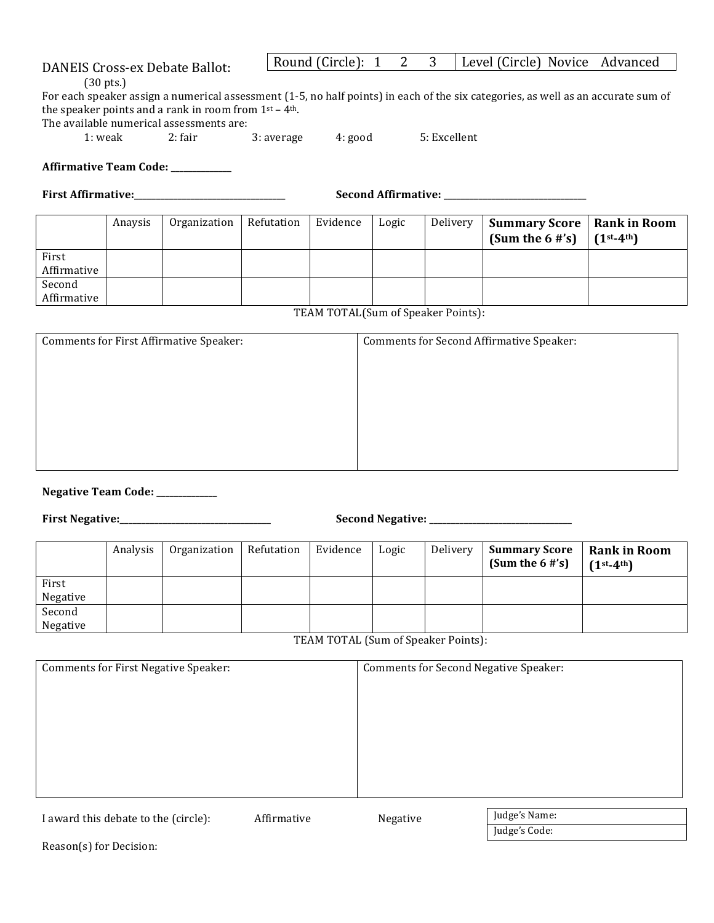## DANEIS Cross-ex Debate Ballot:

(30 pts.)

For each speaker assign a numerical assessment (1-5, no half points) in each of the six categories, as well as an accurate sum of the speaker points and a rank in room from  $1<sup>st</sup> - 4<sup>th</sup>$ .

The available numerical assessments are:<br> $1:$  weak 2: fair

2: fair  $3:$  average  $4:$  good  $5:$  Excellent

Round (Circle):  $1 \quad 2 \quad 3$  Level (Circle) Novice Advanced

Affirmative Team Code: \_\_\_\_\_\_\_\_\_\_\_

**First Affirmative:\_\_\_\_\_\_\_\_\_\_\_\_\_\_\_\_\_\_\_\_\_\_\_\_\_\_\_\_\_\_\_\_\_\_\_ Second Affirmative: \_\_\_\_\_\_\_\_\_\_\_\_\_\_\_\_\_\_\_\_\_\_\_\_\_\_\_\_\_\_\_\_\_**

|                       | Anaysis | Organization | Refutation | Evidence | Logic | Delivery | <b>Summary Score   Rank in Room</b><br>(Sum the $6 \# \s$ ) | $(1^{st-4^{th}})$ |
|-----------------------|---------|--------------|------------|----------|-------|----------|-------------------------------------------------------------|-------------------|
| First<br>Affirmative  |         |              |            |          |       |          |                                                             |                   |
| Second<br>Affirmative |         |              |            |          |       |          |                                                             |                   |

TEAM TOTAL(Sum of Speaker Points):

| Comments for First Affirmative Speaker: | Comments for Second Affirmative Speaker: |
|-----------------------------------------|------------------------------------------|
|                                         |                                          |
|                                         |                                          |
|                                         |                                          |
|                                         |                                          |
|                                         |                                          |
|                                         |                                          |
|                                         |                                          |

**Negative Team Code: \_\_\_\_\_\_\_\_\_\_\_** 

**First Negative:\_\_\_\_\_\_\_\_\_\_\_\_\_\_\_\_\_\_\_\_\_\_\_\_\_\_\_\_\_\_\_\_\_\_\_ Second Negative: \_\_\_\_\_\_\_\_\_\_\_\_\_\_\_\_\_\_\_\_\_\_\_\_\_\_\_\_\_\_\_\_\_**

|                    | Analysis | Organization | Refutation | Evidence | Logic | Delivery | <b>Summary Score</b><br>(Sum the $6$ #'s) | <b>Rank in Room</b><br>$(1st-4th)$ |
|--------------------|----------|--------------|------------|----------|-------|----------|-------------------------------------------|------------------------------------|
| First<br>Negative  |          |              |            |          |       |          |                                           |                                    |
| Second<br>Negative |          |              |            |          |       |          |                                           |                                    |

TEAM TOTAL (Sum of Speaker Points):

| Comments for First Negative Speaker: | <b>Comments for Second Negative Speaker:</b> |
|--------------------------------------|----------------------------------------------|
|                                      |                                              |
|                                      |                                              |
|                                      |                                              |
|                                      |                                              |
|                                      |                                              |
|                                      |                                              |
|                                      |                                              |

I award this debate to the (circle): Affirmative Megative Judge's Name: Judge's Code:

Reason(s) for Decision: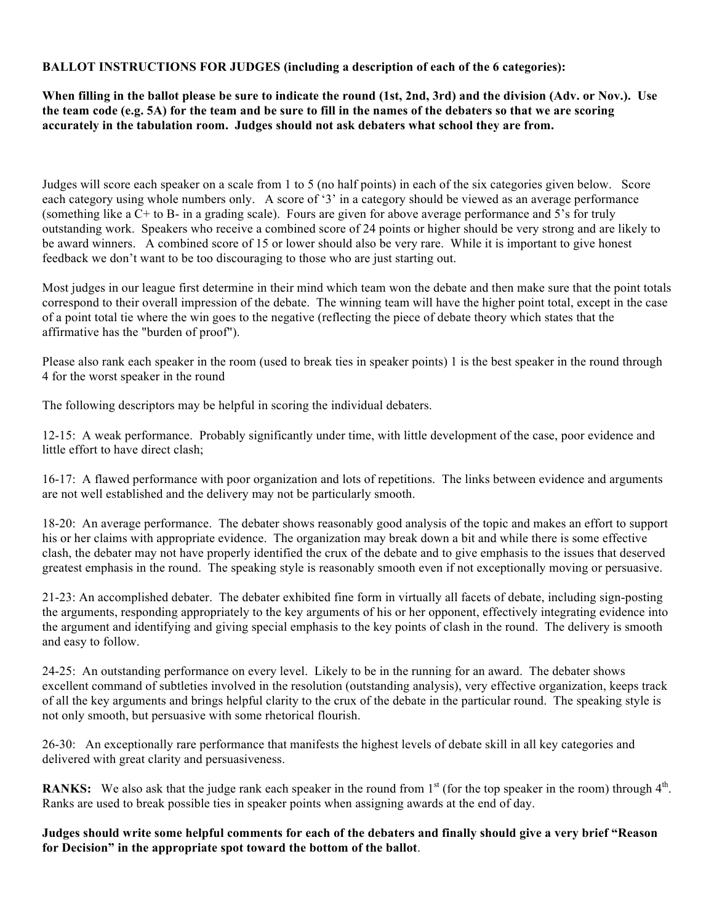## **BALLOT INSTRUCTIONS FOR JUDGES (including a description of each of the 6 categories):**

**When filling in the ballot please be sure to indicate the round (1st, 2nd, 3rd) and the division (Adv. or Nov.). Use the team code (e.g. 5A) for the team and be sure to fill in the names of the debaters so that we are scoring accurately in the tabulation room. Judges should not ask debaters what school they are from.**

Judges will score each speaker on a scale from 1 to 5 (no half points) in each of the six categories given below. Score each category using whole numbers only. A score of '3' in a category should be viewed as an average performance (something like a C+ to B- in a grading scale). Fours are given for above average performance and 5's for truly outstanding work. Speakers who receive a combined score of 24 points or higher should be very strong and are likely to be award winners. A combined score of 15 or lower should also be very rare. While it is important to give honest feedback we don't want to be too discouraging to those who are just starting out.

Most judges in our league first determine in their mind which team won the debate and then make sure that the point totals correspond to their overall impression of the debate. The winning team will have the higher point total, except in the case of a point total tie where the win goes to the negative (reflecting the piece of debate theory which states that the affirmative has the "burden of proof").

Please also rank each speaker in the room (used to break ties in speaker points) 1 is the best speaker in the round through 4 for the worst speaker in the round

The following descriptors may be helpful in scoring the individual debaters.

12-15: A weak performance. Probably significantly under time, with little development of the case, poor evidence and little effort to have direct clash;

16-17: A flawed performance with poor organization and lots of repetitions. The links between evidence and arguments are not well established and the delivery may not be particularly smooth.

18-20: An average performance. The debater shows reasonably good analysis of the topic and makes an effort to support his or her claims with appropriate evidence. The organization may break down a bit and while there is some effective clash, the debater may not have properly identified the crux of the debate and to give emphasis to the issues that deserved greatest emphasis in the round. The speaking style is reasonably smooth even if not exceptionally moving or persuasive.

21-23: An accomplished debater. The debater exhibited fine form in virtually all facets of debate, including sign-posting the arguments, responding appropriately to the key arguments of his or her opponent, effectively integrating evidence into the argument and identifying and giving special emphasis to the key points of clash in the round. The delivery is smooth and easy to follow.

24-25: An outstanding performance on every level. Likely to be in the running for an award. The debater shows excellent command of subtleties involved in the resolution (outstanding analysis), very effective organization, keeps track of all the key arguments and brings helpful clarity to the crux of the debate in the particular round. The speaking style is not only smooth, but persuasive with some rhetorical flourish.

26-30: An exceptionally rare performance that manifests the highest levels of debate skill in all key categories and delivered with great clarity and persuasiveness.

**RANKS:** We also ask that the judge rank each speaker in the round from  $1<sup>st</sup>$  (for the top speaker in the room) through  $4<sup>th</sup>$ . Ranks are used to break possible ties in speaker points when assigning awards at the end of day.

**Judges should write some helpful comments for each of the debaters and finally should give a very brief "Reason for Decision" in the appropriate spot toward the bottom of the ballot**.